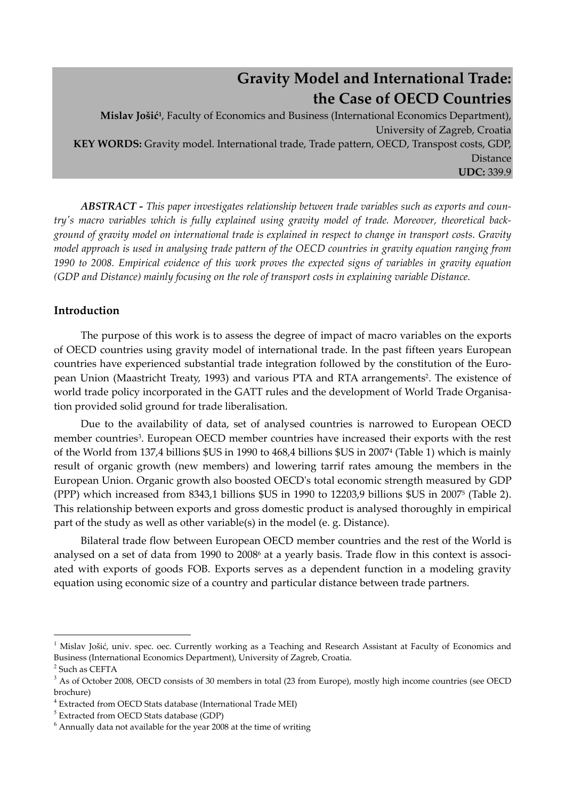# **Gravity Model and International Trade: the Case of OECD Countries**

**Mislav Jošić1**, Faculty of Economics and Business (International Economics Department), University of Zagreb, Croatia **KEY WORDS:** Gravity model. International trade, Trade pattern, OECD, Transpost costs, GDP, **Distance UDC:** 339.9

*ABSTRACT - This paper investigates relationship between trade variables such as exports and countryʹs macro variables which is fully explained using gravity model of trade. Moreover, theoretical background of gravity model on international trade is explained in respect to change in transport costs. Gravity model approach is used in analysing trade pattern of the OECD countries in gravity equation ranging from 1990 to 2008. Empirical evidence of this work proves the expected signs of variables in gravity equation (GDP and Distance) mainly focusing on the role of transport costs in explaining variable Distance.* 

# **Introduction**

The purpose of this work is to assess the degree of impact of macro variables on the exports of OECD countries using gravity model of international trade. In the past fifteen years European countries have experienced substantial trade integration followed by the constitution of the European Union (Maastricht Treaty, 1993) and various PTA and RTA arrangements2. The existence of world trade policy incorporated in the GATT rules and the development of World Trade Organisation provided solid ground for trade liberalisation.

Due to the availability of data, set of analysed countries is narrowed to European OECD member countries<sup>3</sup>. European OECD member countries have increased their exports with the rest of the World from 137,4 billions \$US in 1990 to 468,4 billions \$US in 20074 (Table 1) which is mainly result of organic growth (new members) and lowering tarrif rates amoung the members in the European Union. Organic growth also boosted OECDʹs total economic strength measured by GDP (PPP) which increased from 8343,1 billions \$US in 1990 to 12203,9 billions \$US in 20075 (Table 2). This relationship between exports and gross domestic product is analysed thoroughly in empirical part of the study as well as other variable(s) in the model (e. g. Distance).

Bilateral trade flow between European OECD member countries and the rest of the World is analysed on a set of data from 1990 to 2008<sup>6</sup> at a yearly basis. Trade flow in this context is associated with exports of goods FOB. Exports serves as a dependent function in a modeling gravity equation using economic size of a country and particular distance between trade partners.

 $\overline{a}$ 

<sup>&</sup>lt;sup>1</sup> Mislav Jošić, univ. spec. oec. Currently working as a Teaching and Research Assistant at Faculty of Economics and Business (International Economics Department), University of Zagreb, Croatia.

<sup>2</sup> Such as CEFTA

<sup>&</sup>lt;sup>3</sup> As of October 2008, OECD consists of 30 members in total (23 from Europe), mostly high income countries (see OECD brochure)

<sup>&</sup>lt;sup>4</sup> Extracted from OECD Stats database (International Trade MEI)

 $<sup>5</sup>$  Extracted from OECD Stats database (GDP)</sup>

 $^6$  Annually data not available for the year 2008 at the time of writing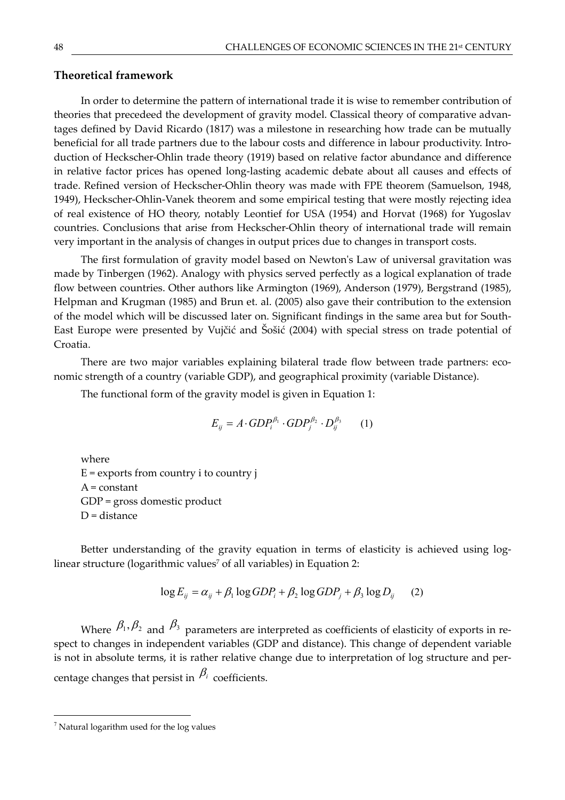#### **Theoretical framework**

In order to determine the pattern of international trade it is wise to remember contribution of theories that precedeed the development of gravity model. Classical theory of comparative advantages defined by David Ricardo (1817) was a milestone in researching how trade can be mutually beneficial for all trade partners due to the labour costs and difference in labour productivity. Introduction of Heckscher-Ohlin trade theory (1919) based on relative factor abundance and difference in relative factor prices has opened long-lasting academic debate about all causes and effects of trade. Refined version of Heckscher-Ohlin theory was made with FPE theorem (Samuelson, 1948, 1949), Heckscher-Ohlin-Vanek theorem and some empirical testing that were mostly rejecting idea of real existence of HO theory, notably Leontief for USA (1954) and Horvat (1968) for Yugoslav countries. Conclusions that arise from Heckscher-Ohlin theory of international trade will remain very important in the analysis of changes in output prices due to changes in transport costs.

The first formulation of gravity model based on Newton's Law of universal gravitation was made by Tinbergen (1962). Analogy with physics served perfectly as a logical explanation of trade flow between countries. Other authors like Armington (1969), Anderson (1979), Bergstrand (1985), Helpman and Krugman (1985) and Brun et. al. (2005) also gave their contribution to the extension of the model which will be discussed later on. Significant findings in the same area but for South-East Europe were presented by Vujčić and Šošić (2004) with special stress on trade potential of Croatia.

There are two major variables explaining bilateral trade flow between trade partners: economic strength of a country (variable GDP), and geographical proximity (variable Distance).

The functional form of the gravity model is given in Equation 1:

$$
E_{ij} = A \cdot GDP_i^{\beta_1} \cdot GDP_j^{\beta_2} \cdot D_{ij}^{\beta_3} \qquad (1)
$$

where  $E =$  exports from country i to country j  $A = constant$ GDP = gross domestic product D = distance

Better understanding of the gravity equation in terms of elasticity is achieved using loglinear structure (logarithmic values<sup>7</sup> of all variables) in Equation 2:

$$
\log E_{ij} = \alpha_{ij} + \beta_1 \log GDP_i + \beta_2 \log GDP_j + \beta_3 \log D_{ij} \tag{2}
$$

Where  $\beta_1$ ,  $\beta_2$  and  $\beta_3$  parameters are interpreted as coefficients of elasticity of exports in respect to changes in independent variables (GDP and distance). This change of dependent variable is not in absolute terms, it is rather relative change due to interpretation of log structure and percentage changes that persist in  $\beta_i$  coefficients.

 $7$  Natural logarithm used for the log values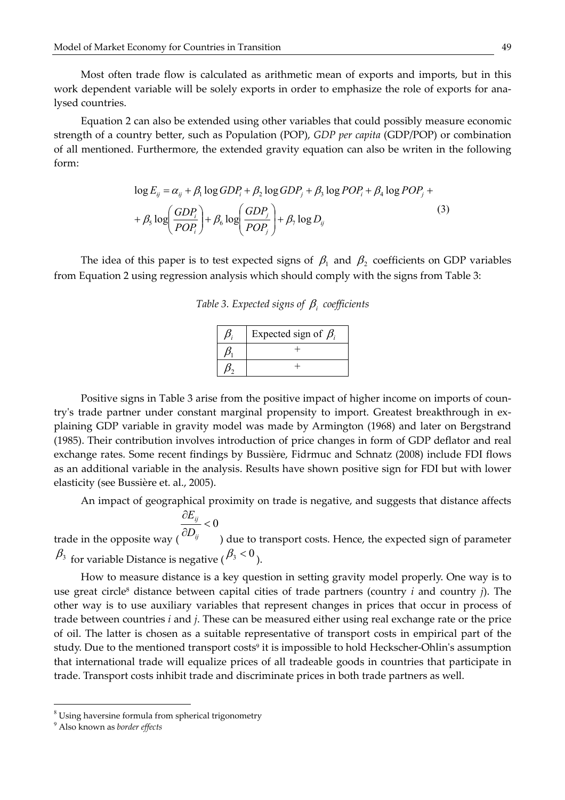Most often trade flow is calculated as arithmetic mean of exports and imports, but in this work dependent variable will be solely exports in order to emphasize the role of exports for analysed countries.

Equation 2 can also be extended using other variables that could possibly measure economic strength of a country better, such as Population (POP), *GDP per capita* (GDP/POP) or combination of all mentioned. Furthermore, the extended gravity equation can also be writen in the following form:

$$
\log E_{ij} = \alpha_{ij} + \beta_1 \log GDP_i + \beta_2 \log GDP_j + \beta_3 \log POP_i + \beta_4 \log POP_j + + \beta_5 \log \left( \frac GDP_i}{POP_i} \right) + \beta_6 \log \left( \frac GDP_j}{POP_j} \right) + \beta_7 \log D_{ij}
$$
(3)

The idea of this paper is to test expected signs of  $\beta_1$  and  $\beta_2$  coefficients on GDP variables from Equation 2 using regression analysis which should comply with the signs from Table 3:

|  |  | Table 3. Expected signs of $\beta_i$ coefficients |
|--|--|---------------------------------------------------|
|  |  |                                                   |

| Expected sign of $\beta_i$ |
|----------------------------|
|                            |
|                            |

Positive signs in Table 3 arise from the positive impact of higher income on imports of countryʹs trade partner under constant marginal propensity to import. Greatest breakthrough in explaining GDP variable in gravity model was made by Armington (1968) and later on Bergstrand (1985). Their contribution involves introduction of price changes in form of GDP deflator and real exchange rates. Some recent findings by Bussière, Fidrmuc and Schnatz (2008) include FDI flows as an additional variable in the analysis. Results have shown positive sign for FDI but with lower elasticity (see Bussière et. al., 2005).

An impact of geographical proximity on trade is negative, and suggests that distance affects

$$
\frac{\partial E_{ij}}{\partial D_{ij}} < 0
$$
\ntrade in the opposite way (  $\frac{\partial E_{ij}}{\partial D_{ij}} < 0$  ) due to transport costs. Hence, the expected sign of parameter  $\beta_3$  for variable Distance is negative ( $\beta_3 < 0$ ).

How to measure distance is a key question in setting gravity model properly. One way is to use great circle8 distance between capital cities of trade partners (country *i* and country *j*). The other way is to use auxiliary variables that represent changes in prices that occur in process of trade between countries *i* and *j*. These can be measured either using real exchange rate or the price of oil. The latter is chosen as a suitable representative of transport costs in empirical part of the study. Due to the mentioned transport costs<sup>9</sup> it is impossible to hold Heckscher-Ohlin's assumption that international trade will equalize prices of all tradeable goods in countries that participate in trade. Transport costs inhibit trade and discriminate prices in both trade partners as well.

 $\overline{a}$ 

<sup>&</sup>lt;sup>8</sup> Using haversine formula from spherical trigonometry

<sup>9</sup> Also known as *border effects*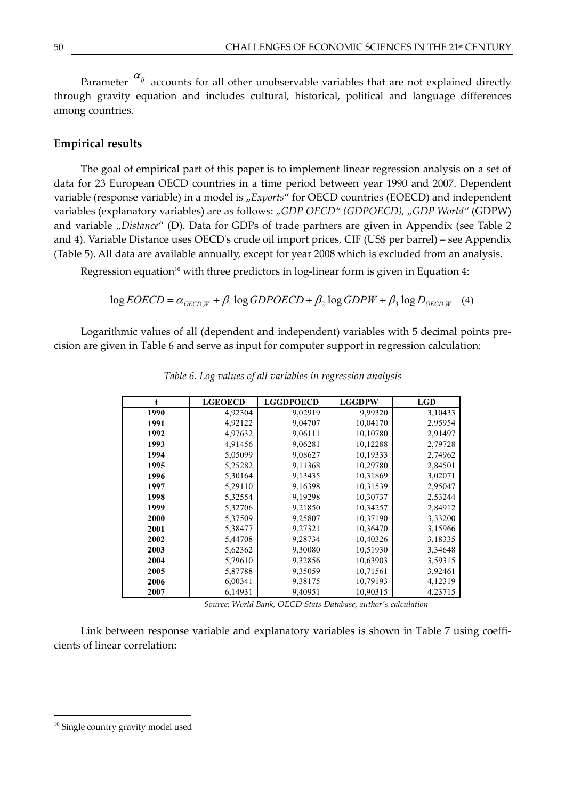Parameter  $\alpha_{ij}$  accounts for all other unobservable variables that are not explained directly through gravity equation and includes cultural, historical, political and language differences among countries.

#### **Empirical results**

The goal of empirical part of this paper is to implement linear regression analysis on a set of data for 23 European OECD countries in a time period between year 1990 and 2007. Dependent variable (response variable) in a model is "Exports" for OECD countries (EOECD) and independent variables (explanatory variables) are as follows: *"GDP OECD" (GDPOECD), "GDP World"* (GDPW) and variable "*Distance"* (D). Data for GDPs of trade partners are given in Appendix (see Table 2 and 4). Variable Distance uses OECDʹs crude oil import prices, CIF (US\$ per barrel) – see Appendix (Table 5). All data are available annually, except for year 2008 which is excluded from an analysis.

Regression equation<sup>10</sup> with three predictors in log-linear form is given in Equation 4:

$$
\log EOECD = \alpha_{OECD,W} + \beta_1 \log GDPOECD + \beta_2 \log GDPW + \beta_3 \log D_{OECD,W} \quad (4)
$$

Logarithmic values of all (dependent and independent) variables with 5 decimal points precision are given in Table 6 and serve as input for computer support in regression calculation:

|      | <b>LGEOECD</b> | <b>LGGDPOECD</b> | <b>LGGDPW</b> | <b>LGD</b> |
|------|----------------|------------------|---------------|------------|
|      |                |                  |               |            |
| 1990 | 4,92304        | 9,02919          | 9,99320       | 3,10433    |
| 1991 | 4,92122        | 9,04707          | 10,04170      | 2,95954    |
| 1992 | 4,97632        | 9,06111          | 10,10780      | 2,91497    |
| 1993 | 4,91456        | 9,06281          | 10,12288      | 2,79728    |
| 1994 | 5,05099        | 9,08627          | 10,19333      | 2,74962    |
| 1995 | 5,25282        | 9,11368          | 10,29780      | 2,84501    |
| 1996 | 5,30164        | 9,13435          | 10,31869      | 3,02071    |
| 1997 | 5,29110        | 9,16398          | 10,31539      | 2,95047    |
| 1998 | 5,32554        | 9,19298          | 10,30737      | 2,53244    |
| 1999 | 5,32706        | 9,21850          | 10,34257      | 2,84912    |
| 2000 | 5,37509        | 9,25807          | 10,37190      | 3,33200    |
| 2001 | 5,38477        | 9,27321          | 10,36470      | 3,15966    |
| 2002 | 5,44708        | 9,28734          | 10,40326      | 3,18335    |
| 2003 | 5,62362        | 9,30080          | 10,51930      | 3,34648    |
| 2004 | 5,79610        | 9,32856          | 10,63903      | 3,59315    |
| 2005 | 5,87788        | 9,35059          | 10,71561      | 3,92461    |
| 2006 | 6,00341        | 9,38175          | 10,79193      | 4,12319    |
| 2007 | 6,14931        | 9,40951          | 10,90315      | 4,23715    |

*Table 6. Log values of all variables in regression analysis* 

 *Source: World Bank, OECD Stats Database, authorʹs calculation* 

Link between response variable and explanatory variables is shown in Table 7 using coefficients of linear correlation:

<sup>&</sup>lt;sup>10</sup> Single country gravity model used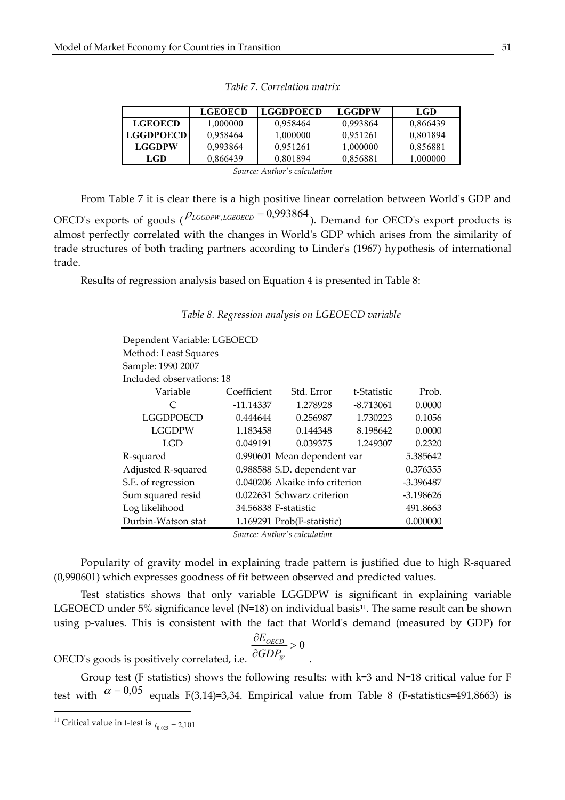|                  | <b>LGEOECD</b> | <b>LGGDPOECD</b> | <b>LGGDPW</b> | LGD      |
|------------------|----------------|------------------|---------------|----------|
| <b>LGEOECD</b>   | 1.000000       | 0.958464         | 0.993864      | 0,866439 |
| <b>LGGDPOECD</b> | 0.958464       | 1,000000         | 0.951261      | 0,801894 |
| <b>LGGDPW</b>    | 0.993864       | 0.951261         | 1,000000      | 0,856881 |
| LGD.             | 0,866439       | 0.801894         | 0,856881      | 1.000000 |
|                  | $\sim$         | .                |               |          |

*Table 7. Correlation matrix* 

*Source: Authorʹs calculation* 

From Table 7 it is clear there is a high positive linear correlation between Worldʹs GDP and OECD's exports of goods ( $\rho_{\text{LGGDPW},\text{LGEOECD}} = 0.993864$ ). Demand for OECD's export products is almost perfectly correlated with the changes in Worldʹs GDP which arises from the similarity of trade structures of both trading partners according to Linderʹs (1967) hypothesis of international trade.

Results of regression analysis based on Equation 4 is presented in Table 8:

| Dependent Variable: LGEOECD            |             |                                |             |             |  |  |  |  |  |  |
|----------------------------------------|-------------|--------------------------------|-------------|-------------|--|--|--|--|--|--|
| Method: Least Squares                  |             |                                |             |             |  |  |  |  |  |  |
| Sample: 1990 2007                      |             |                                |             |             |  |  |  |  |  |  |
| Included observations: 18              |             |                                |             |             |  |  |  |  |  |  |
| Variable                               | Coefficient | Std. Error                     | t-Statistic | Prob.       |  |  |  |  |  |  |
| $\subset$                              | $-11.14337$ | 1.278928                       | $-8.713061$ | 0.0000      |  |  |  |  |  |  |
| LGGDPOECD                              | 0.444644    | 0.256987                       | 1.730223    | 0.1056      |  |  |  |  |  |  |
| <b>LGGDPW</b>                          | 1.183458    | 0.144348                       | 8.198642    | 0.0000      |  |  |  |  |  |  |
| LGD                                    | 0.049191    | 0.039375                       | 1.249307    | 0.2320      |  |  |  |  |  |  |
| R-squared                              |             | 0.990601 Mean dependent var    |             | 5.385642    |  |  |  |  |  |  |
| Adjusted R-squared                     |             | 0.988588 S.D. dependent var    |             | 0.376355    |  |  |  |  |  |  |
| S.E. of regression                     |             | 0.040206 Akaike info criterion |             | -3.396487   |  |  |  |  |  |  |
| Sum squared resid                      |             | 0.022631 Schwarz criterion     |             | $-3.198626$ |  |  |  |  |  |  |
| Log likelihood<br>34.56838 F-statistic |             |                                |             |             |  |  |  |  |  |  |
| Durbin-Watson stat                     |             | 1.169291 Prob(F-statistic)     |             | 0.000000    |  |  |  |  |  |  |
|                                        |             | Source: Author's calculation   |             |             |  |  |  |  |  |  |

|  |  |  | Table 8. Regression analysis on LGEOECD variable |  |
|--|--|--|--------------------------------------------------|--|
|--|--|--|--------------------------------------------------|--|

*Source: Authorʹs calculation* 

Popularity of gravity model in explaining trade pattern is justified due to high R-squared (0,990601) which expresses goodness of fit between observed and predicted values.

Test statistics shows that only variable LGGDPW is significant in explaining variable LGEOECD under 5% significance level (N=18) on individual basis<sup>11</sup>. The same result can be shown using p-values. This is consistent with the fact that Worldʹs demand (measured by GDP) for

$$
\frac{\partial E_{OECD}}{\partial GDP_W} > 0
$$

OECDʹs goods is positively correlated, i.e.

Group test (F statistics) shows the following results: with k=3 and N=18 critical value for F test with  $\alpha = 0.05$  equals F(3,14)=3,34. Empirical value from Table 8 (F-statistics=491,8663) is

 $\overline{a}$ 

<sup>&</sup>lt;sup>11</sup> Critical value in t-test is  $t_{0.025} = 2,101$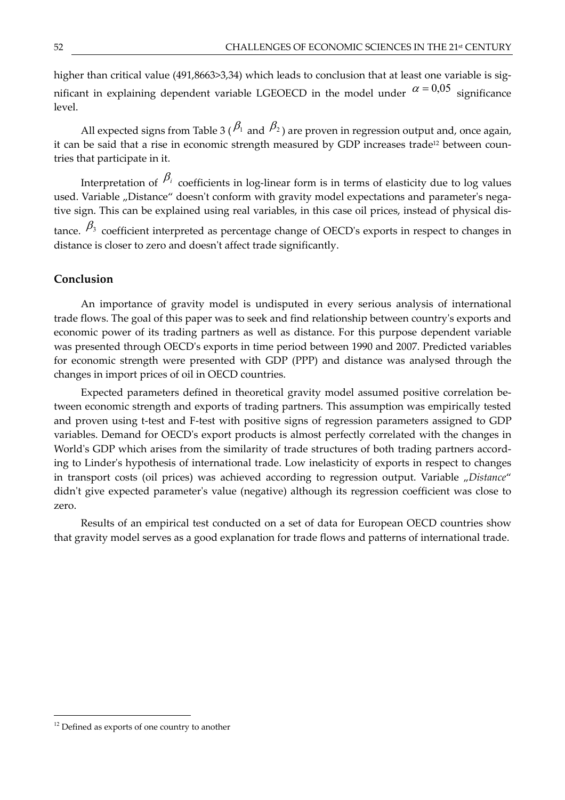higher than critical value (491,8663>3,34) which leads to conclusion that at least one variable is significant in explaining dependent variable LGEOECD in the model under  $\alpha = 0.05$  significance level.

All expected signs from Table 3 ( $\beta_1$  and  $\beta_2$ ) are proven in regression output and, once again, it can be said that a rise in economic strength measured by GDP increases trade<sup>12</sup> between countries that participate in it.

Interpretation of  $\beta_i$  coefficients in log-linear form is in terms of elasticity due to log values used. Variable "Distance" doesn't conform with gravity model expectations and parameter's negative sign. This can be explained using real variables, in this case oil prices, instead of physical distance.  $\beta_3$  coefficient interpreted as percentage change of OECD's exports in respect to changes in distance is closer to zero and doesn't affect trade significantly.

### **Conclusion**

An importance of gravity model is undisputed in every serious analysis of international trade flows. The goal of this paper was to seek and find relationship between countryʹs exports and economic power of its trading partners as well as distance. For this purpose dependent variable was presented through OECDʹs exports in time period between 1990 and 2007. Predicted variables for economic strength were presented with GDP (PPP) and distance was analysed through the changes in import prices of oil in OECD countries.

Expected parameters defined in theoretical gravity model assumed positive correlation between economic strength and exports of trading partners. This assumption was empirically tested and proven using t-test and F-test with positive signs of regression parameters assigned to GDP variables. Demand for OECDʹs export products is almost perfectly correlated with the changes in World's GDP which arises from the similarity of trade structures of both trading partners according to Linderʹs hypothesis of international trade. Low inelasticity of exports in respect to changes in transport costs (oil prices) was achieved according to regression output. Variable "Distance" didn't give expected parameter's value (negative) although its regression coefficient was close to zero.

Results of an empirical test conducted on a set of data for European OECD countries show that gravity model serves as a good explanation for trade flows and patterns of international trade.

<sup>&</sup>lt;sup>12</sup> Defined as exports of one country to another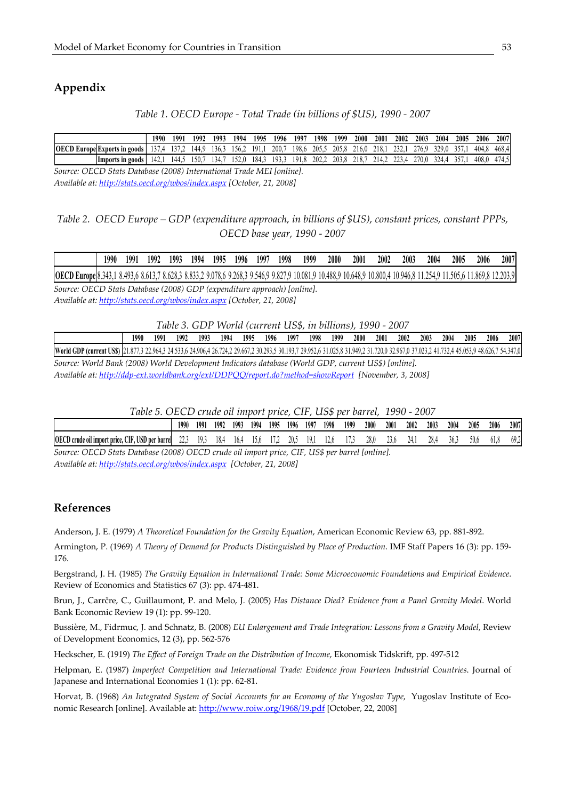# **Appendix**

#### *Table 1. OECD Europe - Total Trade (in billions of \$US), 1990 - 2007*

|             |                         | 1990 | 1991 | 1992  | 1993  | 1994  | 1995 | 1996  | 1997  | 1998  | 1999  | 2000  | 200 <sup>1</sup> | 2002 | 2003             | 2004  | 2005 | 2006  | 2007  |
|-------------|-------------------------|------|------|-------|-------|-------|------|-------|-------|-------|-------|-------|------------------|------|------------------|-------|------|-------|-------|
| <b>OECD</b> | Europe Exports in goods |      |      | 144.9 | 136.3 | 156.2 | 191  | 200.  | 198.6 | 205.5 | 205.8 | 216.0 | / I X -          | 232. | 276.9            | 329.0 | 357  | 404.8 | 468.4 |
|             | Limports in goods       | 142. | 144. | $50-$ | -341  | 52 O  | 184. | 193.3 | 191.8 | 202.2 | 203.8 | 218.  | 11 L J           | 73 A | <sup>770.0</sup> | 324.4 | 357  | 408.0 | 474.5 |

*Source: OECD Stats Database (2008) International Trade MEI [online]. Available at: http://stats.oecd.org/wbos/index.aspx [October, 21, 2008]* 

## *Table 2. OECD Europe – GDP (expenditure approach, in billions of \$US), constant prices, constant PPPs, OECD base year, 1990 - 2007*

|                            | 1990 | 1991    | 1992  | 1993    | 1994    | 1995 | 1996 | 1997 | 1998 | 1999                                       | 2000 | 2001                           | 2002 | 2003      | 2004                              | 2005         | 2006     | 2007     |
|----------------------------|------|---------|-------|---------|---------|------|------|------|------|--------------------------------------------|------|--------------------------------|------|-----------|-----------------------------------|--------------|----------|----------|
| <b>OECD Europe</b> 8.343,1 |      | 8.493.6 | 8.613 | 78.6283 | 8.833,2 |      |      |      |      | 2 9.078,6 9.268,3 9.546,9 9.827,9 10.081,9 |      | 1,9 10.488,9 10.648,9 10.800,4 |      | 10.946,81 | 25491<br>$\overline{\phantom{a}}$ | $.1.505.6-1$ | 11.869,8 | 12.203.9 |

*Source: OECD Stats Database (2008) GDP (expenditure approach) [online]. Available at: http://stats.oecd.org/wbos/index.aspx [October, 21, 2008]* 

*Table 3. GDP World (current US\$, in billions), 1990 - 2007* 

|                                                                                                                                                                                            | 1990 | 1991 | 1992 | 1993 | 1994 | 1995 1996 1997 |  | 1998 | 1999 | 2000 | 2001 | 2002 | 2003 | 2004 | 2005 | 2006 | 2007 |
|--------------------------------------------------------------------------------------------------------------------------------------------------------------------------------------------|------|------|------|------|------|----------------|--|------|------|------|------|------|------|------|------|------|------|
| World GDP (current USS) [21.877,3 22.964,3 24.533,6 24.906,4 26.724,2 29.667,2 30.293,5 30.193,7 29.952,6 31.025,8 31.929,3 31.920,0 32.967,0 37.023,2 41.732,4 45.053,9 48.626,7 54.347,0 |      |      |      |      |      |                |  |      |      |      |      |      |      |      |      |      |      |
| Source: World Bank (2008) World Development Indicators database (World GDP, current US\$) [online].                                                                                        |      |      |      |      |      |                |  |      |      |      |      |      |      |      |      |      |      |
| Available at: http://ddp-ext.worldbank.org/ext/DDPOO/report.do?method=showReport [November, 3, 2008]                                                                                       |      |      |      |      |      |                |  |      |      |      |      |      |      |      |      |      |      |

| Table 5. OECD crude oil import price, CIF, US\$ per barrel, 1990 - 2007 |  |  |  |  |  |
|-------------------------------------------------------------------------|--|--|--|--|--|
|-------------------------------------------------------------------------|--|--|--|--|--|

|                                                                                           | 1990 | 1991 | 1992 | 1993 | 1994 | 1995 | 1996   | 199 | 1998   | 1999 | 2000 | 2001 | 2002 | 2003      | 2004 | 2005 | 2006 | 2007        |
|-------------------------------------------------------------------------------------------|------|------|------|------|------|------|--------|-----|--------|------|------|------|------|-----------|------|------|------|-------------|
| <br><b>OECD</b><br>TIOD<br>$\alpha$<br>e oil import price. CIF. USD per<br>barre<br>crude | ""   | ''   |      | l٥.  |      |      | $\sim$ | ۱۵  | $\sim$ |      | 28.0 |      |      | 70<br>40. |      | 50.6 | ,,,, | ሬ0 1<br>, . |

*Source: OECD Stats Database (2008) OECD crude oil import price, CIF, US\$ per barrel [online]. Available at: http://stats.oecd.org/wbos/index.aspx [October, 21, 2008]*

#### **References**

Anderson, J. E. (1979) *A Theoretical Foundation for the Gravity Equation*, American Economic Review 63, pp. 881-892.

Armington, P. (1969) *A Theory of Demand for Products Distinguished by Place of Production*. IMF Staff Papers 16 (3): pp. 159- 176.

Bergstrand, J. H. (1985) *The Gravity Equation in International Trade: Some Microeconomic Foundations and Empirical Evidence*. Review of Economics and Statistics 67 (3): pp. 474-481.

Brun, J., Carrčre, C., Guillaumont, P. and Melo, J. (2005) *Has Distance Died? Evidence from a Panel Gravity Model*. World Bank Economic Review 19 (1): pp. 99-120.

Bussière, M., Fidrmuc, J. and Schnatz, B. (2008) *EU Enlargement and Trade Integration: Lessons from a Gravity Model*, Review of Development Economics, 12 (3), pp. 562-576

Heckscher, E. (1919) *The Effect of Foreign Trade on the Distribution of Income*, Ekonomisk Tidskrift, pp. 497-512

Helpman, E. (1987) *Imperfect Competition and International Trade: Evidence from Fourteen Industrial Countries*. Journal of Japanese and International Economies 1 (1): pp. 62-81.

Horvat, B. (1968) *An Integrated System of Social Accounts for an Economy of the Yugoslav Type*, Yugoslav Institute of Economic Research [online]. Available at: http://www.roiw.org/1968/19.pdf [October, 22, 2008]